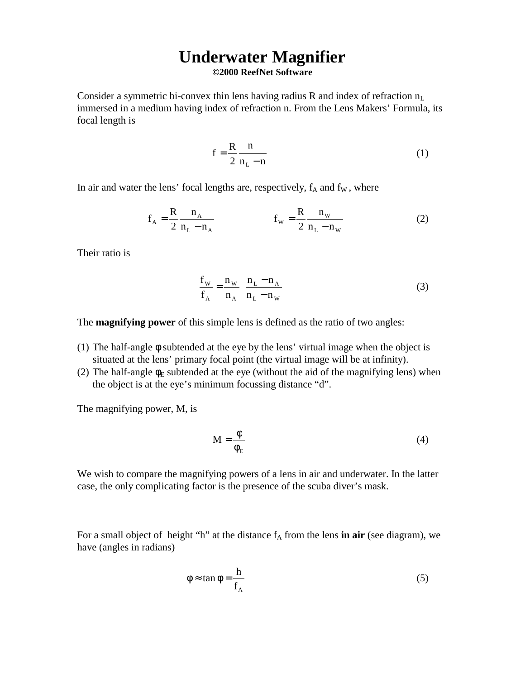## **Underwater Magnifier ©2000 ReefNet Software**

Consider a symmetric bi-convex thin lens having radius R and index of refraction  $n_L$ immersed in a medium having index of refraction n. From the Lens Makers' Formula, its focal length is

$$
f = \frac{R}{2} \frac{n}{n_L - n} \tag{1}
$$

In air and water the lens' focal lengths are, respectively,  $f_A$  and  $f_W$ , where

$$
f_{A} = \frac{R}{2} \frac{n_{A}}{n_{L} - n_{A}} \qquad f_{W} = \frac{R}{2} \frac{n_{W}}{n_{L} - n_{W}}
$$
 (2)

Their ratio is

$$
\frac{f_{\rm w}}{f_{\rm A}} = \frac{n_{\rm w}}{n_{\rm A}} \left( \frac{n_{\rm L} - n_{\rm A}}{n_{\rm L} - n_{\rm w}} \right) \tag{3}
$$

The **magnifying power** of this simple lens is defined as the ratio of two angles:

- (1) The half-angle φ subtended at the eye by the lens' virtual image when the object is situated at the lens' primary focal point (the virtual image will be at infinity).
- (2) The half-angle  $\phi_E$  subtended at the eye (without the aid of the magnifying lens) when the object is at the eye's minimum focussing distance "d".

The magnifying power, M, is

$$
M = \frac{\phi}{\phi_E} \tag{4}
$$

We wish to compare the magnifying powers of a lens in air and underwater. In the latter case, the only complicating factor is the presence of the scuba diver's mask.

For a small object of height "h" at the distance  $f_A$  from the lens **in air** (see diagram), we have (angles in radians)

$$
\phi \approx \tan \phi = \frac{h}{f_A} \tag{5}
$$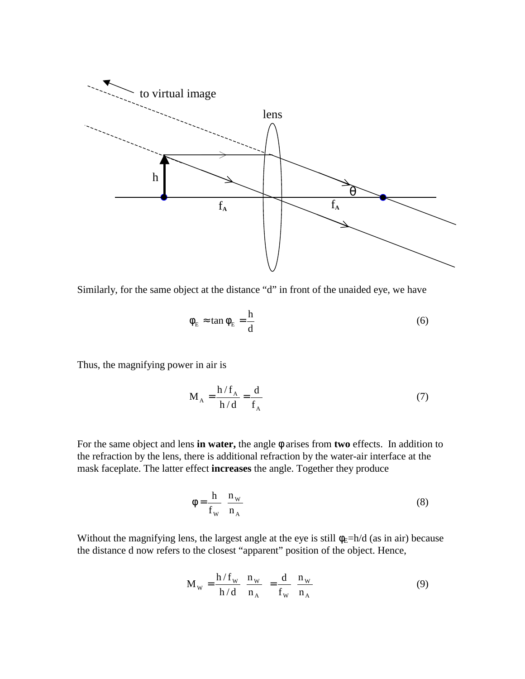

Similarly, for the same object at the distance "d" in front of the unaided eye, we have

$$
\phi_{\rm E} \approx \tan \phi_{\rm E} = \frac{\rm h}{\rm d} \tag{6}
$$

Thus, the magnifying power in air is

$$
M_A = \frac{h/f_A}{h/d} = \frac{d}{f_A}
$$
 (7)

For the same object and lens **in water,** the angle φ arises from **two** effects. In addition to the refraction by the lens, there is additional refraction by the water-air interface at the mask faceplate. The latter effect **increases** the angle. Together they produce

$$
\phi = \frac{h}{f_w} \left( \frac{n_w}{n_A} \right) \tag{8}
$$

Without the magnifying lens, the largest angle at the eye is still  $\phi_E=h/d$  (as in air) because the distance d now refers to the closest "apparent" position of the object. Hence,

$$
\mathbf{M}_{\mathrm{w}} = \frac{\mathbf{h} / \mathbf{f}_{\mathrm{w}}}{\mathbf{h} / \mathbf{d}} \left( \frac{\mathbf{n}_{\mathrm{w}}}{\mathbf{n}_{\mathrm{A}}} \right) = \frac{\mathbf{d}}{\mathbf{f}_{\mathrm{w}}} \left( \frac{\mathbf{n}_{\mathrm{w}}}{\mathbf{n}_{\mathrm{A}}} \right)
$$
(9)